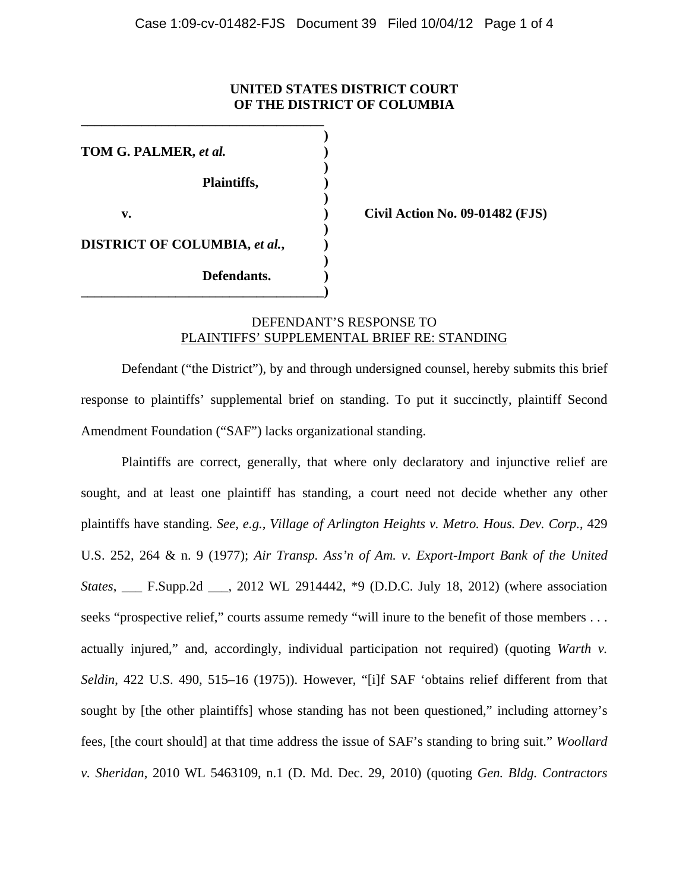## **UNITED STATES DISTRICT COURT OF THE DISTRICT OF COLUMBIA**

 **) TOM G. PALMER,** *et al.* **) ) Plaintiffs, ) ) v. ) Civil Action No. 09-01482 (FJS) ) DISTRICT OF COLUMBIA,** *et al.***, ) ) Defendants. ) \_\_\_\_\_\_\_\_\_\_\_\_\_\_\_\_\_\_\_\_\_\_\_\_\_\_\_\_\_\_\_\_\_\_\_\_)** 

**\_\_\_\_\_\_\_\_\_\_\_\_\_\_\_\_\_\_\_\_\_\_\_\_\_\_\_\_\_\_\_\_\_\_\_\_** 

## DEFENDANT'S RESPONSE TO PLAINTIFFS' SUPPLEMENTAL BRIEF RE: STANDING

Defendant ("the District"), by and through undersigned counsel, hereby submits this brief response to plaintiffs' supplemental brief on standing. To put it succinctly, plaintiff Second Amendment Foundation ("SAF") lacks organizational standing.

Plaintiffs are correct, generally, that where only declaratory and injunctive relief are sought, and at least one plaintiff has standing, a court need not decide whether any other plaintiffs have standing. *See, e.g., Village of Arlington Heights v. Metro. Hous. Dev. Corp.*, 429 U.S. 252, 264 & n. 9 (1977); *Air Transp. Ass'n of Am. v. Export-Import Bank of the United States*, \_\_\_ F.Supp.2d \_\_\_, 2012 WL 2914442, \*9 (D.D.C. July 18, 2012) (where association seeks "prospective relief," courts assume remedy "will inure to the benefit of those members . . . actually injured," and, accordingly, individual participation not required) (quoting *Warth v. Seldin*, 422 U.S. 490, 515–16 (1975)). However, "[i]f SAF 'obtains relief different from that sought by [the other plaintiffs] whose standing has not been questioned," including attorney's fees, [the court should] at that time address the issue of SAF's standing to bring suit." *Woollard v. Sheridan*, 2010 WL 5463109, n.1 (D. Md. Dec. 29, 2010) (quoting *Gen. Bldg. Contractors*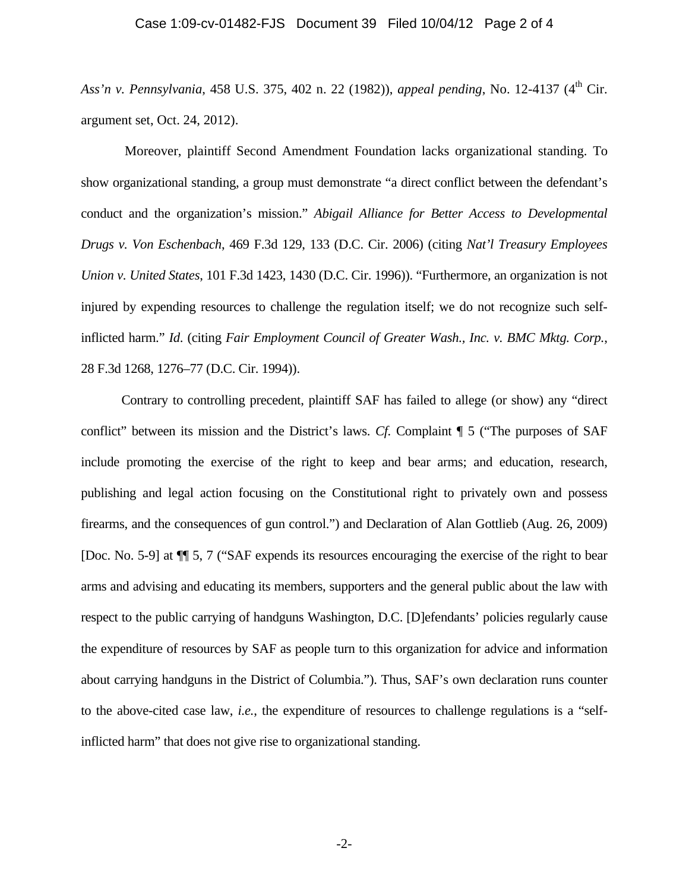## Case 1:09-cv-01482-FJS Document 39 Filed 10/04/12 Page 2 of 4

*Ass'n v. Pennsylvania*, 458 U.S. 375, 402 n. 22 (1982)), *appeal pending*, No. 12-4137 (4th Cir. argument set, Oct. 24, 2012).

 Moreover, plaintiff Second Amendment Foundation lacks organizational standing. To show organizational standing, a group must demonstrate "a direct conflict between the defendant's conduct and the organization's mission." *Abigail Alliance for Better Access to Developmental Drugs v. Von Eschenbach*, 469 F.3d 129, 133 (D.C. Cir. 2006) (citing *Nat'l Treasury Employees Union v. United States*, 101 F.3d 1423, 1430 (D.C. Cir. 1996)). "Furthermore, an organization is not injured by expending resources to challenge the regulation itself; we do not recognize such selfinflicted harm." *Id*. (citing *Fair Employment Council of Greater Wash., Inc. v. BMC Mktg. Corp.*, 28 F.3d 1268, 1276–77 (D.C. Cir. 1994)).

 Contrary to controlling precedent, plaintiff SAF has failed to allege (or show) any "direct conflict" between its mission and the District's laws. *Cf.* Complaint ¶ 5 ("The purposes of SAF include promoting the exercise of the right to keep and bear arms; and education, research, publishing and legal action focusing on the Constitutional right to privately own and possess firearms, and the consequences of gun control.") and Declaration of Alan Gottlieb (Aug. 26, 2009) [Doc. No. 5-9] at ¶¶ 5, 7 ("SAF expends its resources encouraging the exercise of the right to bear arms and advising and educating its members, supporters and the general public about the law with respect to the public carrying of handguns Washington, D.C. [D]efendants' policies regularly cause the expenditure of resources by SAF as people turn to this organization for advice and information about carrying handguns in the District of Columbia."). Thus, SAF's own declaration runs counter to the above-cited case law, *i.e.*, the expenditure of resources to challenge regulations is a "selfinflicted harm" that does not give rise to organizational standing.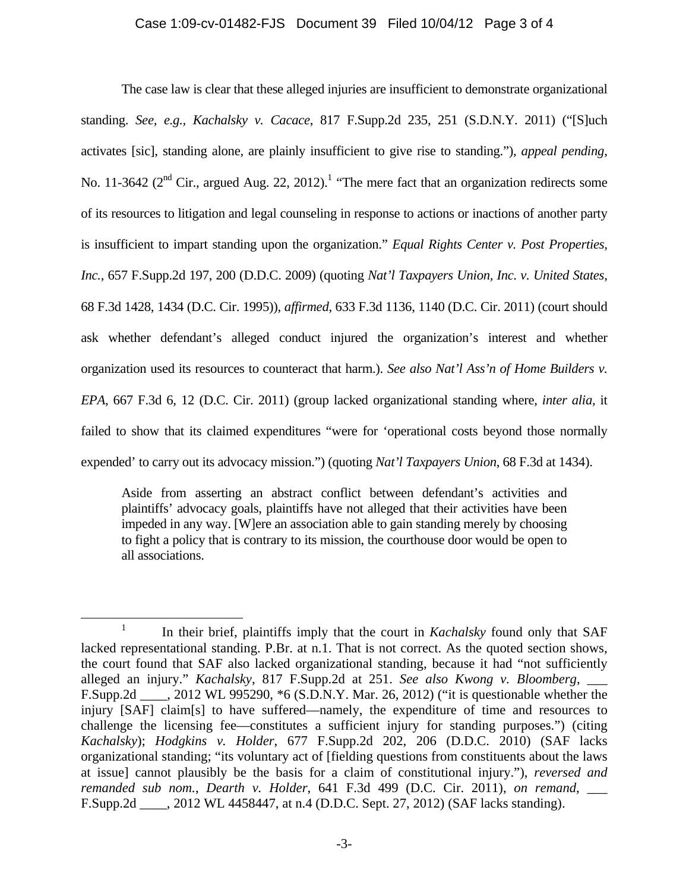## Case 1:09-cv-01482-FJS Document 39 Filed 10/04/12 Page 3 of 4

 The case law is clear that these alleged injuries are insufficient to demonstrate organizational standing. *See, e.g., Kachalsky v. Cacace*, 817 F.Supp.2d 235, 251 (S.D.N.Y. 2011) ("[S]uch activates [sic], standing alone, are plainly insufficient to give rise to standing."), *appeal pending*, No. 11-3642 ( $2<sup>nd</sup>$  Cir., argued Aug. 22, 2012).<sup>1</sup> "The mere fact that an organization redirects some of its resources to litigation and legal counseling in response to actions or inactions of another party is insufficient to impart standing upon the organization." *Equal Rights Center v. Post Properties, Inc.*, 657 F.Supp.2d 197, 200 (D.D.C. 2009) (quoting *Nat'l Taxpayers Union, Inc. v. United States*, 68 F.3d 1428, 1434 (D.C. Cir. 1995)), *affirmed*, 633 F.3d 1136, 1140 (D.C. Cir. 2011) (court should ask whether defendant's alleged conduct injured the organization's interest and whether organization used its resources to counteract that harm.). *See also Nat'l Ass'n of Home Builders v. EPA*, 667 F.3d 6, 12 (D.C. Cir. 2011) (group lacked organizational standing where, *inter alia*, it failed to show that its claimed expenditures "were for 'operational costs beyond those normally expended' to carry out its advocacy mission.") (quoting *Nat'l Taxpayers Union*, 68 F.3d at 1434).

Aside from asserting an abstract conflict between defendant's activities and plaintiffs' advocacy goals, plaintiffs have not alleged that their activities have been impeded in any way. [W]ere an association able to gain standing merely by choosing to fight a policy that is contrary to its mission, the courthouse door would be open to all associations.

 $\frac{1}{1}$ <sup>1</sup> In their brief, plaintiffs imply that the court in *Kachalsky* found only that SAF lacked representational standing. P.Br. at n.1. That is not correct. As the quoted section shows, the court found that SAF also lacked organizational standing, because it had "not sufficiently alleged an injury." *Kachalsky*, 817 F.Supp.2d at 251. *See also Kwong v. Bloomberg*, \_\_\_ F.Supp.2d \_\_\_\_, 2012 WL 995290, \*6 (S.D.N.Y. Mar. 26, 2012) ("it is questionable whether the injury [SAF] claim[s] to have suffered—namely, the expenditure of time and resources to challenge the licensing fee—constitutes a sufficient injury for standing purposes.") (citing *Kachalsky*); *Hodgkins v. Holder*, 677 F.Supp.2d 202, 206 (D.D.C. 2010) (SAF lacks organizational standing; "its voluntary act of [fielding questions from constituents about the laws at issue] cannot plausibly be the basis for a claim of constitutional injury."), *reversed and remanded sub nom.*, *Dearth v. Holder*, 641 F.3d 499 (D.C. Cir. 2011), *on remand*, \_\_\_ F.Supp.2d \_\_\_\_, 2012 WL 4458447, at n.4 (D.D.C. Sept. 27, 2012) (SAF lacks standing).